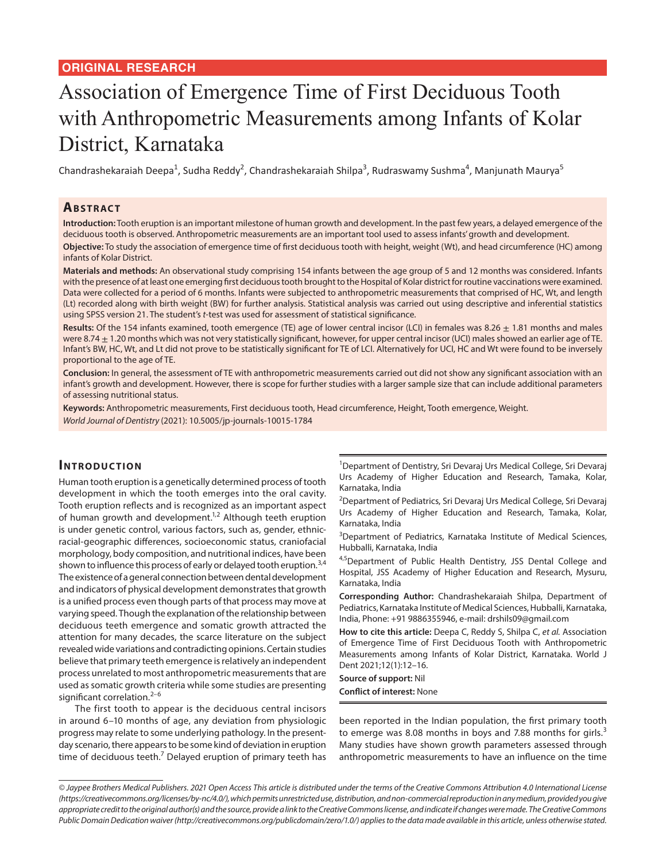# Association of Emergence Time of First Deciduous Tooth with Anthropometric Measurements among Infants of Kolar District, Karnataka

Chandrashekaraiah Deepa<sup>1</sup>, Sudha Reddy<sup>2</sup>, Chandrashekaraiah Shilpa<sup>3</sup>, Rudraswamy Sushma<sup>4</sup>, Manjunath Maurya<sup>5</sup>

# **ABSTRACT**

**Introduction:** Tooth eruption is an important milestone of human growth and development. In the past few years, a delayed emergence of the deciduous tooth is observed. Anthropometric measurements are an important tool used to assess infants' growth and development.

**Objective:** To study the association of emergence time of first deciduous tooth with height, weight (Wt), and head circumference (HC) among infants of Kolar District.

**Materials and methods:** An observational study comprising 154 infants between the age group of 5 and 12 months was considered. Infants with the presence of at least one emerging first deciduous tooth brought to the Hospital of Kolar district for routine vaccinations were examined. Data were collected for a period of 6 months. Infants were subjected to anthropometric measurements that comprised of HC, Wt, and length (Lt) recorded along with birth weight (BW) for further analysis. Statistical analysis was carried out using descriptive and inferential statistics using SPSS version 21. The student's *t*-test was used for assessment of statistical significance.

Results: Of the 154 infants examined, tooth emergence (TE) age of lower central incisor (LCI) in females was 8.26  $\pm$  1.81 months and males were 8.74  $\pm$  1.20 months which was not very statistically significant, however, for upper central incisor (UCI) males showed an earlier age of TE. Infant's BW, HC, Wt, and Lt did not prove to be statistically significant for TE of LCI. Alternatively for UCI, HC and Wt were found to be inversely proportional to the age of TE.

**Conclusion:** In general, the assessment of TE with anthropometric measurements carried out did not show any significant association with an infant's growth and development. However, there is scope for further studies with a larger sample size that can include additional parameters of assessing nutritional status.

**Keywords:** Anthropometric measurements, First deciduous tooth, Head circumference, Height, Tooth emergence, Weight. *World Journal of Dentistry* (2021): 10.5005/jp-journals-10015-1784

# **INTRODUCTION**

Human tooth eruption is a genetically determined process of tooth development in which the tooth emerges into the oral cavity. Tooth eruption reflects and is recognized as an important aspect of human growth and development.<sup>1,2</sup> Although teeth eruption is under genetic control, various factors, such as, gender, ethnicracial-geographic differences, socioeconomic status, craniofacial morphology, body composition, and nutritional indices, have been shown to influence this process of early or delayed tooth eruption.<sup>3,4</sup> The existence of a general connection between dental development and indicators of physical development demonstrates that growth is a unified process even though parts of that process may move at varying speed. Though the explanation of the relationship between deciduous teeth emergence and somatic growth attracted the attention for many decades, the scarce literature on the subject revealed wide variations and contradicting opinions. Certain studies believe that primary teeth emergence is relatively an independent process unrelated to most anthropometric measurements that are used as somatic growth criteria while some studies are presenting significant correlation. $2-6$ 

The first tooth to appear is the deciduous central incisors in around 6–10 months of age, any deviation from physiologic progress may relate to some underlying pathology. In the presentday scenario, there appears to be some kind of deviation in eruption time of deciduous teeth.<sup>7</sup> Delayed eruption of primary teeth has

<sup>1</sup>Department of Dentistry, Sri Devaraj Urs Medical College, Sri Devaraj Urs Academy of Higher Education and Research, Tamaka, Kolar, Karnataka, India

<sup>2</sup>Department of Pediatrics, Sri Devaraj Urs Medical College, Sri Devaraj Urs Academy of Higher Education and Research, Tamaka, Kolar, Karnataka, India

<sup>3</sup>Department of Pediatrics, Karnataka Institute of Medical Sciences, Hubballi, Karnataka, India

4,5Department of Public Health Dentistry, JSS Dental College and Hospital, JSS Academy of Higher Education and Research, Mysuru, Karnataka, India

**Corresponding Author:** Chandrashekaraiah Shilpa, Department of Pediatrics, Karnataka Institute of Medical Sciences, Hubballi, Karnataka, India, Phone: +91 9886355946, e-mail: drshils09@gmail.com

**How to cite this article:** Deepa C, Reddy S, Shilpa C, *et al.* Association of Emergence Time of First Deciduous Tooth with Anthropometric Measurements among Infants of Kolar District, Karnataka. World J Dent 2021;12(1):12–16.

#### **Source of support:** Nil

**Conflict of interest:** None

been reported in the Indian population, the first primary tooth to emerge was 8.08 months in boys and 7.88 months for girls. $3$ Many studies have shown growth parameters assessed through anthropometric measurements to have an influence on the time

*<sup>©</sup> Jaypee Brothers Medical Publishers. 2021 Open Access This article is distributed under the terms of the Creative Commons Attribution 4.0 International License (https://creativecommons.org/licenses/by-nc/4.0/), which permits unrestricted use, distribution, and non-commercial reproduction in any medium, provided you give appropriate credit to the original author(s) and the source, provide a link to the Creative Commons license, and indicate if changes were made. The Creative Commons Public Domain Dedication waiver (http://creativecommons.org/publicdomain/zero/1.0/) applies to the data made available in this article, unless otherwise stated.*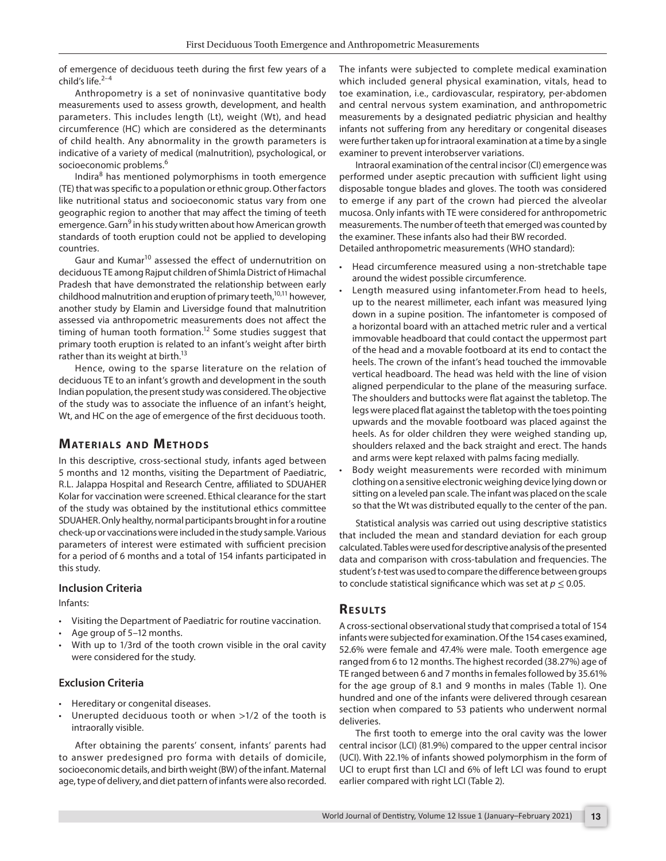of emergence of deciduous teeth during the first few years of a child's life. $2-4$ 

Anthropometry is a set of noninvasive quantitative body measurements used to assess growth, development, and health parameters. This includes length (Lt), weight (Wt), and head circumference (HC) which are considered as the determinants of child health. Any abnormality in the growth parameters is indicative of a variety of medical (malnutrition), psychological, or socioeconomic problems.<sup>6</sup>

Indira<sup>8</sup> has mentioned polymorphisms in tooth emergence (TE) that was specific to a population or ethnic group. Other factors like nutritional status and socioeconomic status vary from one geographic region to another that may affect the timing of teeth emergence. Garn<sup>9</sup> in his study written about how American growth standards of tooth eruption could not be applied to developing countries.

Gaur and Kumar<sup>10</sup> assessed the effect of undernutrition on deciduous TE among Rajput children of Shimla District of Himachal Pradesh that have demonstrated the relationship between early childhood malnutrition and eruption of primary teeth,<sup>10,11</sup> however, another study by Elamin and Liversidge found that malnutrition assessed via anthropometric measurements does not affect the timing of human tooth formation.<sup>12</sup> Some studies suggest that primary tooth eruption is related to an infant's weight after birth rather than its weight at birth.<sup>13</sup>

Hence, owing to the sparse literature on the relation of deciduous TE to an infant's growth and development in the south Indian population, the present study was considered. The objective of the study was to associate the influence of an infant's height, Wt, and HC on the age of emergence of the first deciduous tooth.

# **MATERIALS AND METHODS**

In this descriptive, cross-sectional study, infants aged between 5 months and 12 months, visiting the Department of Paediatric, R.L. Jalappa Hospital and Research Centre, affiliated to SDUAHER Kolar for vaccination were screened. Ethical clearance for the start of the study was obtained by the institutional ethics committee SDUAHER. Only healthy, normal participants brought in for a routine check-up or vaccinations were included in the study sample. Various parameters of interest were estimated with sufficient precision for a period of 6 months and a total of 154 infants participated in this study.

# **Inclusion Criteria**

Infants:

- Visiting the Department of Paediatric for routine vaccination.
- Age group of 5–12 months.
- With up to 1/3rd of the tooth crown visible in the oral cavity were considered for the study.

# **Exclusion Criteria**

- Hereditary or congenital diseases.
- Unerupted deciduous tooth or when >1/2 of the tooth is intraorally visible.

After obtaining the parents' consent, infants' parents had to answer predesigned pro forma with details of domicile, socioeconomic details, and birth weight (BW) of the infant. Maternal age, type of delivery, and diet pattern of infants were also recorded. The infants were subjected to complete medical examination which included general physical examination, vitals, head to toe examination, i.e., cardiovascular, respiratory, per-abdomen and central nervous system examination, and anthropometric measurements by a designated pediatric physician and healthy infants not suffering from any hereditary or congenital diseases were further taken up for intraoral examination at a time by a single examiner to prevent interobserver variations.

Intraoral examination of the central incisor (CI) emergence was performed under aseptic precaution with sufficient light using disposable tongue blades and gloves. The tooth was considered to emerge if any part of the crown had pierced the alveolar mucosa. Only infants with TE were considered for anthropometric measurements. The number of teeth that emerged was counted by the examiner. These infants also had their BW recorded. Detailed anthropometric measurements (WHO standard):

- Head circumference measured using a non-stretchable tape around the widest possible circumference.
- Length measured using infantometer. From head to heels, up to the nearest millimeter, each infant was measured lying down in a supine position. The infantometer is composed of a horizontal board with an attached metric ruler and a vertical immovable headboard that could contact the uppermost part of the head and a movable footboard at its end to contact the heels. The crown of the infant's head touched the immovable vertical headboard. The head was held with the line of vision aligned perpendicular to the plane of the measuring surface. The shoulders and buttocks were flat against the tabletop. The legs were placed flat against the tabletop with the toes pointing upwards and the movable footboard was placed against the heels. As for older children they were weighed standing up, shoulders relaxed and the back straight and erect. The hands and arms were kept relaxed with palms facing medially.
- Body weight measurements were recorded with minimum clothing on a sensitive electronic weighing device lying down or sitting on a leveled pan scale. The infant was placed on the scale so that the Wt was distributed equally to the center of the pan.

Statistical analysis was carried out using descriptive statistics that included the mean and standard deviation for each group calculated. Tables were used for descriptive analysis of the presented data and comparison with cross-tabulation and frequencies. The student's *t*-test was used to compare the difference between groups to conclude statistical significance which was set at  $p \leq 0.05$ .

# **RESULTS**

A cross-sectional observational study that comprised a total of 154 infants were subjected for examination. Of the 154 cases examined, 52.6% were female and 47.4% were male. Tooth emergence age ranged from 6 to 12 months. The highest recorded (38.27%) age of TE ranged between 6 and 7 months in females followed by 35.61% for the age group of 8.1 and 9 months in males (Table 1). One hundred and one of the infants were delivered through cesarean section when compared to 53 patients who underwent normal deliveries.

The first tooth to emerge into the oral cavity was the lower central incisor (LCI) (81.9%) compared to the upper central incisor (UCI). With 22.1% of infants showed polymorphism in the form of UCI to erupt first than LCI and 6% of left LCI was found to erupt earlier compared with right LCI (Table 2).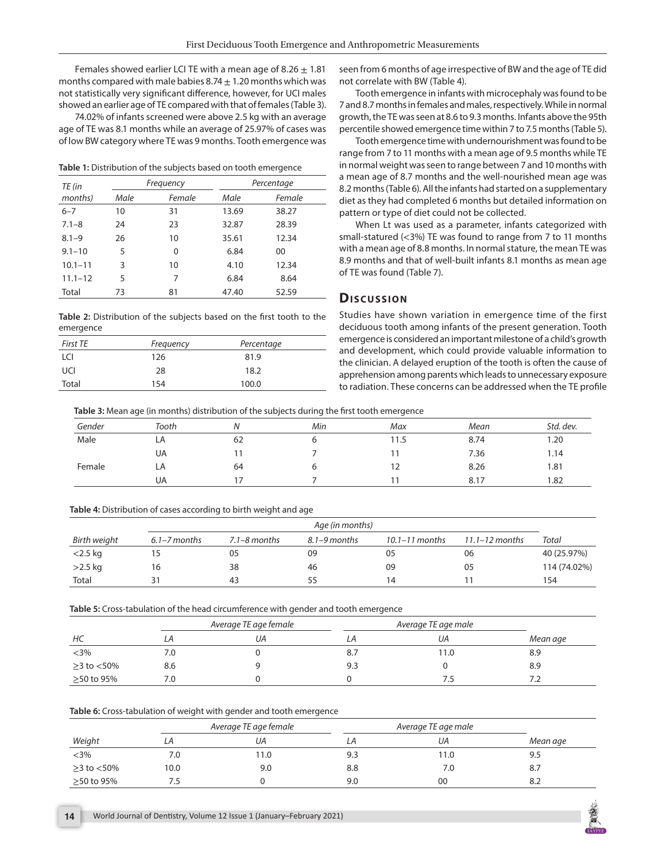Females showed earlier LCI TE with a mean age of 8.26  $\pm$  1.81 months compared with male babies 8.74  $\pm$  1.20 months which was not statistically very significant difference, however, for UCI males showed an earlier age of TE compared with that of females (Table 3).

74.02% of infants screened were above 2.5 kg with an average age of TE was 8.1 months while an average of 25.97% of cases was of low BW category where TE was 9 months. Tooth emergence was

**Table 1:** Distribution of the subjects based on tooth emergence

| TE (in      | Frequency |        | Percentage |        |  |
|-------------|-----------|--------|------------|--------|--|
| months)     | Male      | Female | Male       | Female |  |
| $6 - 7$     | 10        | 31     | 13.69      | 38.27  |  |
| $7.1 - 8$   | 24        | 23     | 32.87      | 28.39  |  |
| $8.1 - 9$   | 26        | 10     | 35.61      | 12.34  |  |
| $9.1 - 10$  | 5         | 0      | 6.84       | 00     |  |
| $10.1 - 11$ | 3         | 10     | 4.10       | 12.34  |  |
| $11.1 - 12$ | 5         | 7      | 6.84       | 8.64   |  |
| Total       | 73        | 81     | 47.40      | 52.59  |  |

**Table 2:** Distribution of the subjects based on the first tooth to the emergence

| <b>First TE</b> | Frequency | Percentage |
|-----------------|-----------|------------|
| LCI             | 126       | 81.9       |
| UCI             | 28        | 18.2       |
| Total           | 154       | 100.0      |

seen from 6 months of age irrespective of BW and the age of TE did not correlate with BW (Table 4).

Tooth emergence in infants with microcephaly was found to be 7 and 8.7 months in females and males, respectively. While in normal growth, the TE was seen at 8.6 to 9.3 months. Infants above the 95th percentile showed emergence time within 7 to 7.5 months (Table 5).

Tooth emergence time with undernourishment was found to be range from 7 to 11 months with a mean age of 9.5 months while TE in normal weight was seen to range between 7 and 10 months with a mean age of 8.7 months and the well-nourished mean age was 8.2 months (Table 6). All the infants had started on a supplementary diet as they had completed 6 months but detailed information on pattern or type of diet could not be collected.

When Lt was used as a parameter, infants categorized with small-statured (<3%) TE was found to range from 7 to 11 months with a mean age of 8.8 months. In normal stature, the mean TE was 8.9 months and that of well-built infants 8.1 months as mean age of TE was found (Table 7).

# **Dis c u s sio n**

Studies have shown variation in emergence time of the first deciduous tooth among infants of the present generation. Tooth emergence is considered an important milestone of a child's growth and development, which could provide valuable information to the clinician. A delayed eruption of the tooth is often the cause of apprehension among parents which leads to unnecessary exposure to radiation. These concerns can be addressed when the TE profile

**Table 3:** Mean age (in months) distribution of the subjects during the first tooth emergence

| Gender | Tooth |    | Min | Max  | Mean | Std. dev. |
|--------|-------|----|-----|------|------|-----------|
| Male   | LA    | 62 |     | 11.5 | 8.74 | 1.20      |
|        | UA    |    |     |      | 7.36 | 1.14      |
| Female | LA    | 64 |     |      | 8.26 | 1.81      |
|        | UA    |    |     |      | 8.17 | 1.82      |

#### **Table 4:** Distribution of cases according to birth weight and age

|              |                  |                  | Age (in months)  |                    |                    |              |
|--------------|------------------|------------------|------------------|--------------------|--------------------|--------------|
| Birth weight | $6.1 - 7$ months | $7.1 - 8$ months | $8.1 - 9$ months | $10.1 - 11$ months | $11.1 - 12$ months | Total        |
| $<$ 2.5 kg   |                  | 05               | 09               | 05                 | 06                 | 40 (25.97%)  |
| $>2.5$ kg    | 16               | 38               | 46               | 09                 | 05                 | 114 (74.02%) |
| Total        | 31               | 43               | 55               | 14                 |                    | 154          |

**Table 5:** Cross-tabulation of the head circumference with gender and tooth emergence

|                     |     | Average TE age female | Average TE age male |     |          |
|---------------------|-----|-----------------------|---------------------|-----|----------|
| HС                  | ιA. | UΑ                    | LА                  | UА  | Mean age |
| $<$ 3%              | 7.0 |                       | 8.7                 | 1.0 | 8.9      |
| $\geq$ 3 to $<$ 50% | 8.6 |                       | 9.3                 |     | 8.9      |
| ≥50 to 95%          | 7.0 |                       |                     |     | 7.2      |

#### **Table 6:** Cross-tabulation of weight with gender and tooth emergence

|                     | Average TE age female |     | Average TE age male |     |          |
|---------------------|-----------------------|-----|---------------------|-----|----------|
| Weight              | LА                    | UА  | ιA                  | UА  | Mean age |
| $<$ 3%              | 7.0                   | 1.0 | 9.3                 | 1.0 | 9.5      |
| $\geq$ 3 to $<$ 50% | 10.0                  | 9.0 | 8.8                 | 7.0 | 8.7      |
| ≥50 to 95%          |                       |     | 9.0                 | 00  | 8.2      |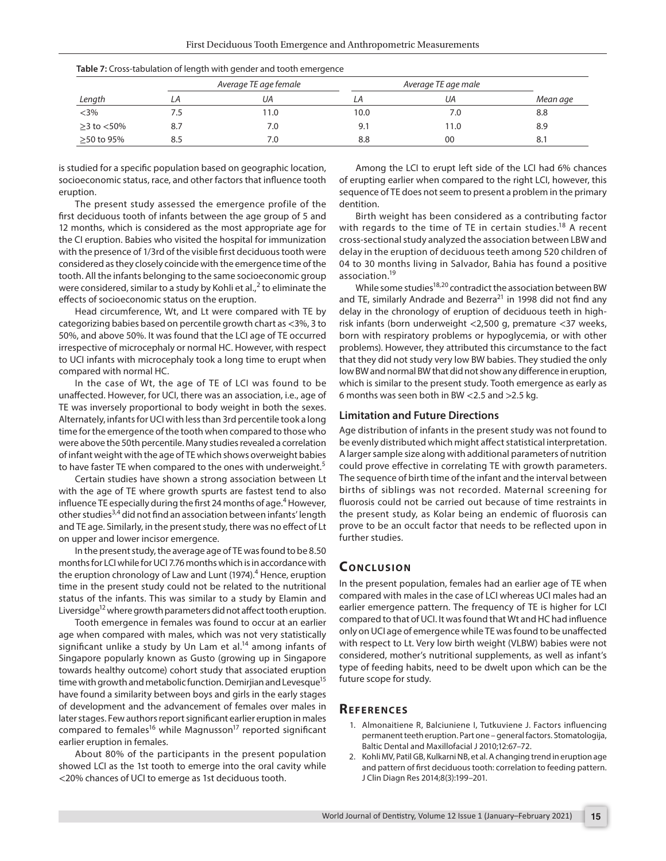|                     |     | Average TE age female | Average TE age male |      |          |
|---------------------|-----|-----------------------|---------------------|------|----------|
| Length              | LA  | UА                    |                     | UА   | Mean age |
| $<3\%$              | 7.5 | 1.0                   | 10.0                | 7.0  | 8.8      |
| $\geq$ 3 to $<$ 50% | 8.7 | 7.0                   | 9.1                 | 11.0 | 8.9      |
| ≥50 to 95%          | 8.5 | 7.0                   | 8.8                 | 00   | 8.1      |

| Table 7: Cross-tabulation of length with gender and tooth emergence |
|---------------------------------------------------------------------|
|---------------------------------------------------------------------|

is studied for a specific population based on geographic location, socioeconomic status, race, and other factors that influence tooth eruption.

The present study assessed the emergence profile of the first deciduous tooth of infants between the age group of 5 and 12 months, which is considered as the most appropriate age for the CI eruption. Babies who visited the hospital for immunization with the presence of 1/3rd of the visible first deciduous tooth were considered as they closely coincide with the emergence time of the tooth. All the infants belonging to the same socioeconomic group were considered, similar to a study by Kohli et al.,<sup>2</sup> to eliminate the effects of socioeconomic status on the eruption.

Head circumference, Wt, and Lt were compared with TE by categorizing babies based on percentile growth chart as <3%, 3 to 50%, and above 50%. It was found that the LCI age of TE occurred irrespective of microcephaly or normal HC. However, with respect to UCI infants with microcephaly took a long time to erupt when compared with normal HC.

In the case of Wt, the age of TE of LCI was found to be unaffected. However, for UCI, there was an association, i.e., age of TE was inversely proportional to body weight in both the sexes. Alternately, infants for UCI with less than 3rd percentile took a long time for the emergence of the tooth when compared to those who were above the 50th percentile. Many studies revealed a correlation of infant weight with the age of TE which shows overweight babies to have faster TE when compared to the ones with underweight.<sup>5</sup>

Certain studies have shown a strong association between Lt with the age of TE where growth spurts are fastest tend to also influence TE especially during the first 24 months of age.<sup>4</sup> However, other studies<sup>3,4</sup> did not find an association between infants' length and TE age. Similarly, in the present study, there was no effect of Lt on upper and lower incisor emergence.

In the present study, the average age of TE was found to be 8.50 months for LCI while for UCI 7.76 months which is in accordance with the eruption chronology of Law and Lunt (1974).<sup>4</sup> Hence, eruption time in the present study could not be related to the nutritional status of the infants. This was similar to a study by Elamin and Liversidge<sup>12</sup> where growth parameters did not affect tooth eruption.

Tooth emergence in females was found to occur at an earlier age when compared with males, which was not very statistically significant unlike a study by Un Lam et  $al.^{14}$  among infants of Singapore popularly known as Gusto (growing up in Singapore towards healthy outcome) cohort study that associated eruption time with growth and metabolic function. Demirjian and Levesque<sup>15</sup> have found a similarity between boys and girls in the early stages of development and the advancement of females over males in later stages. Few authors report significant earlier eruption in males compared to females<sup>16</sup> while Magnusson<sup>17</sup> reported significant earlier eruption in females.

About 80% of the participants in the present population showed LCI as the 1st tooth to emerge into the oral cavity while <20% chances of UCI to emerge as 1st deciduous tooth.

Among the LCI to erupt left side of the LCI had 6% chances of erupting earlier when compared to the right LCI, however, this sequence of TE does not seem to present a problem in the primary dentition.

Birth weight has been considered as a contributing factor with regards to the time of TE in certain studies.<sup>18</sup> A recent cross-sectional study analyzed the association between LBW and delay in the eruption of deciduous teeth among 520 children of 04 to 30 months living in Salvador, Bahia has found a positive association.19

While some studies $18,20$  contradict the association between BW and TE, similarly Andrade and Bezerra<sup>21</sup> in 1998 did not find any delay in the chronology of eruption of deciduous teeth in highrisk infants (born underweight <2,500 g, premature <37 weeks, born with respiratory problems or hypoglycemia, or with other problems). However, they attributed this circumstance to the fact that they did not study very low BW babies. They studied the only low BW and normal BW that did not show any difference in eruption, which is similar to the present study. Tooth emergence as early as 6 months was seen both in BW <2.5 and >2.5 kg.

### **Limitation and Future Directions**

Age distribution of infants in the present study was not found to be evenly distributed which might affect statistical interpretation. A larger sample size along with additional parameters of nutrition could prove effective in correlating TE with growth parameters. The sequence of birth time of the infant and the interval between births of siblings was not recorded. Maternal screening for fluorosis could not be carried out because of time restraints in the present study, as Kolar being an endemic of fluorosis can prove to be an occult factor that needs to be reflected upon in further studies.

# **CONCLUSION**

In the present population, females had an earlier age of TE when compared with males in the case of LCI whereas UCI males had an earlier emergence pattern. The frequency of TE is higher for LCI compared to that of UCI. It was found that Wt and HC had influence only on UCI age of emergence while TE was found to be unaffected with respect to Lt. Very low birth weight (VLBW) babies were not considered, mother's nutritional supplements, as well as infant's type of feeding habits, need to be dwelt upon which can be the future scope for study.

## **REFERENCES**

- 1. Almonaitiene R, Balciuniene I, Tutkuviene J. Factors influencing permanent teeth eruption. Part one – general factors. Stomatologija, Baltic Dental and Maxillofacial J 2010;12:67–72.
- 2. Kohli MV, Patil GB, Kulkarni NB, et al. A changing trend in eruption age and pattern of first deciduous tooth: correlation to feeding pattern. J Clin Diagn Res 2014;8(3):199–201.